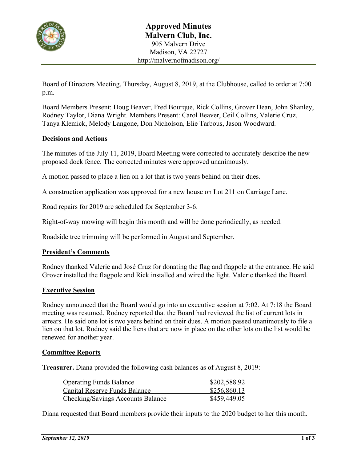

Board of Directors Meeting, Thursday, August 8, 2019, at the Clubhouse, called to order at 7:00 p.m.

Board Members Present: Doug Beaver, Fred Bourque, Rick Collins, Grover Dean, John Shanley, Rodney Taylor, Diana Wright. Members Present: Carol Beaver, Ceil Collins, Valerie Cruz, Tanya Klemick, Melody Langone, Don Nicholson, Elie Tarbous, Jason Woodward.

## **Decisions and Actions**

The minutes of the July 11, 2019, Board Meeting were corrected to accurately describe the new proposed dock fence. The corrected minutes were approved unanimously.

A motion passed to place a lien on a lot that is two years behind on their dues.

A construction application was approved for a new house on Lot 211 on Carriage Lane.

Road repairs for 2019 are scheduled for September 3-6.

Right-of-way mowing will begin this month and will be done periodically, as needed.

Roadside tree trimming will be performed in August and September.

### **President's Comments**

Rodney thanked Valerie and José Cruz for donating the flag and flagpole at the entrance. He said Grover installed the flagpole and Rick installed and wired the light. Valerie thanked the Board.

### **Executive Session**

Rodney announced that the Board would go into an executive session at 7:02. At 7:18 the Board meeting was resumed. Rodney reported that the Board had reviewed the list of current lots in arrears. He said one lot is two years behind on their dues. A motion passed unanimously to file a lien on that lot. Rodney said the liens that are now in place on the other lots on the list would be renewed for another year.

### **Committee Reports**

**Treasurer.** Diana provided the following cash balances as of August 8, 2019:

| <b>Operating Funds Balance</b>           | \$202,588.92 |
|------------------------------------------|--------------|
| Capital Reserve Funds Balance            | \$256,860.13 |
| <b>Checking/Savings Accounts Balance</b> | \$459,449.05 |

Diana requested that Board members provide their inputs to the 2020 budget to her this month.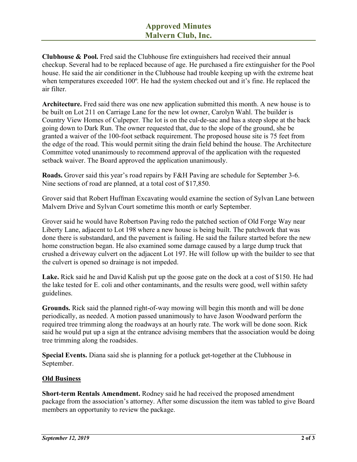**Clubhouse & Pool.** Fred said the Clubhouse fire extinguishers had received their annual checkup. Several had to be replaced because of age. He purchased a fire extinguisher for the Pool house. He said the air conditioner in the Clubhouse had trouble keeping up with the extreme heat when temperatures exceeded 100º*.* He had the system checked out and it's fine. He replaced the air filter.

**Architecture.** Fred said there was one new application submitted this month. A new house is to be built on Lot 211 on Carriage Lane for the new lot owner, Carolyn Wahl. The builder is Country View Homes of Culpeper. The lot is on the cul-de-sac and has a steep slope at the back going down to Dark Run. The owner requested that, due to the slope of the ground, she be granted a waiver of the 100-foot setback requirement. The proposed house site is 75 feet from the edge of the road. This would permit siting the drain field behind the house. The Architecture Committee voted unanimously to recommend approval of the application with the requested setback waiver. The Board approved the application unanimously.

**Roads.** Grover said this year's road repairs by F&H Paving are schedule for September 3-6. Nine sections of road are planned, at a total cost of \$17,850.

Grover said that Robert Huffman Excavating would examine the section of Sylvan Lane between Malvern Drive and Sylvan Court sometime this month or early September.

Grover said he would have Robertson Paving redo the patched section of Old Forge Way near Liberty Lane, adjacent to Lot 198 where a new house is being built. The patchwork that was done there is substandard, and the pavement is failing. He said the failure started before the new home construction began. He also examined some damage caused by a large dump truck that crushed a driveway culvert on the adjacent Lot 197. He will follow up with the builder to see that the culvert is opened so drainage is not impeded.

**Lake.** Rick said he and David Kalish put up the goose gate on the dock at a cost of \$150. He had the lake tested for E. coli and other contaminants, and the results were good, well within safety guidelines.

**Grounds.** Rick said the planned right-of-way mowing will begin this month and will be done periodically, as needed. A motion passed unanimously to have Jason Woodward perform the required tree trimming along the roadways at an hourly rate. The work will be done soon. Rick said he would put up a sign at the entrance advising members that the association would be doing tree trimming along the roadsides.

**Special Events.** Diana said she is planning for a potluck get-together at the Clubhouse in September.

# **Old Business**

**Short-term Rentals Amendment.** Rodney said he had received the proposed amendment package from the association's attorney. After some discussion the item was tabled to give Board members an opportunity to review the package.